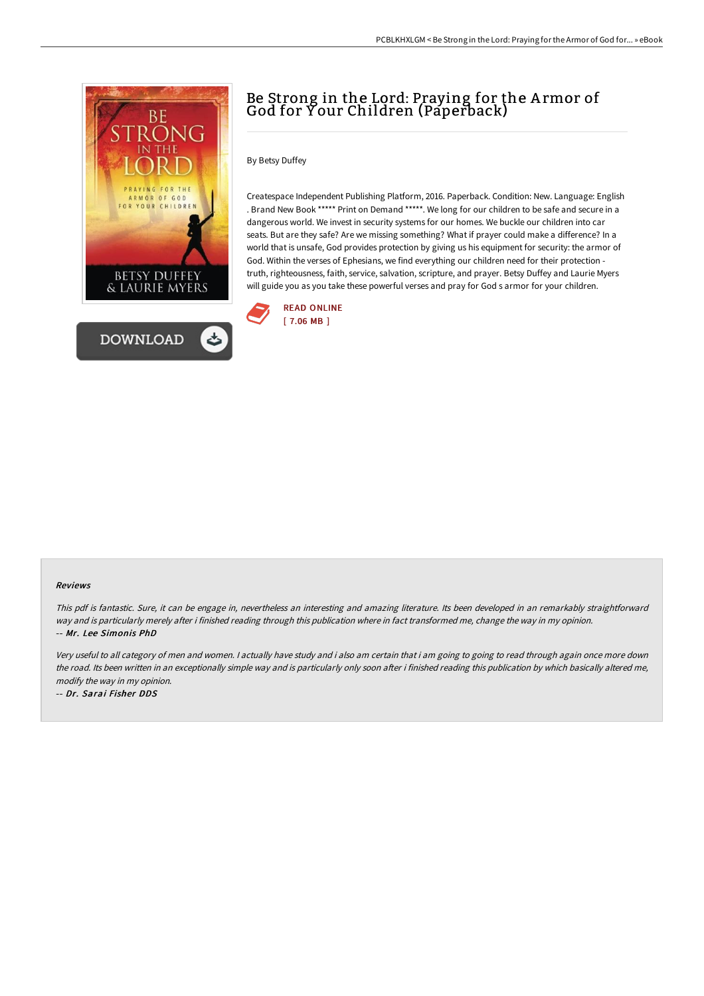

# Be Strong in the Lord: Praying for the A rmor of God for Y our Children (Paperback)

### By Betsy Duffey

Createspace Independent Publishing Platform, 2016. Paperback. Condition: New. Language: English . Brand New Book \*\*\*\*\* Print on Demand \*\*\*\*\*. We long for our children to be safe and secure in a dangerous world. We invest in security systems for our homes. We buckle our children into car seats. But are they safe? Are we missing something? What if prayer could make a difference? In a world that is unsafe, God provides protection by giving us his equipment for security: the armor of God. Within the verses of Ephesians, we find everything our children need for their protection truth, righteousness, faith, service, salvation, scripture, and prayer. Betsy Duffey and Laurie Myers will guide you as you take these powerful verses and pray for God s armor for your children.



#### Reviews

This pdf is fantastic. Sure, it can be engage in, nevertheless an interesting and amazing literature. Its been developed in an remarkably straightforward way and is particularly merely after i finished reading through this publication where in fact transformed me, change the way in my opinion. -- Mr. Lee Simonis PhD

Very useful to all category of men and women. <sup>I</sup> actually have study and i also am certain that i am going to going to read through again once more down the road. Its been written in an exceptionally simple way and is particularly only soon after i finished reading this publication by which basically altered me, modify the way in my opinion.

-- Dr. Sarai Fisher DDS